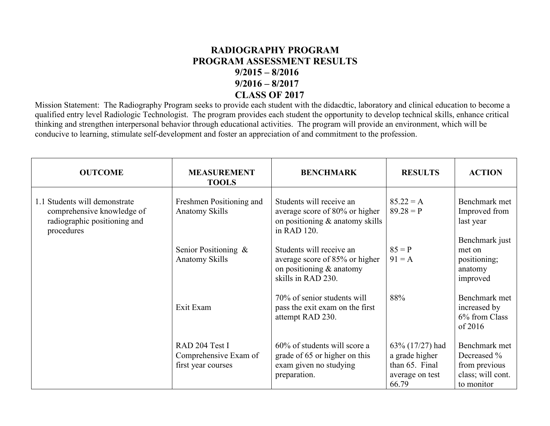## **RADIOGRAPHY PROGRAM PROGRAM ASSESSMENT RESULTS 9/2015 – 8/2016 9/2016 – 8/2017 CLASS OF 2017**

Mission Statement: The Radiography Program seeks to provide each student with the didacdtic, laboratory and clinical education to become a qualified entry level Radiologic Technologist. The program provides each student the opportunity to develop technical skills, enhance critical thinking and strengthen interpersonal behavior through educational activities. The program will provide an environment, which will be conducive to learning, stimulate self-development and foster an appreciation of and commitment to the profession.

| <b>OUTCOME</b>                                                                                            | <b>MEASUREMENT</b><br><b>TOOLS</b>                            | <b>BENCHMARK</b>                                                                                             | <b>RESULTS</b>                                                                  | <b>ACTION</b>                                                                    |
|-----------------------------------------------------------------------------------------------------------|---------------------------------------------------------------|--------------------------------------------------------------------------------------------------------------|---------------------------------------------------------------------------------|----------------------------------------------------------------------------------|
| 1.1 Students will demonstrate<br>comprehensive knowledge of<br>radiographic positioning and<br>procedures | Freshmen Positioning and<br>Anatomy Skills                    | Students will receive an<br>average score of 80% or higher<br>on positioning & anatomy skills<br>in RAD 120. | $85.22 = A$<br>$89.28 = P$                                                      | Benchmark met<br>Improved from<br>last year                                      |
|                                                                                                           | Senior Positioning &<br><b>Anatomy Skills</b>                 | Students will receive an<br>average score of 85% or higher<br>on positioning & anatomy<br>skills in RAD 230. | $85 = P$<br>$91 = A$                                                            | Benchmark just<br>met on<br>positioning;<br>anatomy<br>improved                  |
|                                                                                                           | Exit Exam                                                     | 70% of senior students will<br>pass the exit exam on the first<br>attempt RAD 230.                           | 88%                                                                             | Benchmark met<br>increased by<br>6% from Class<br>of 2016                        |
|                                                                                                           | RAD 204 Test I<br>Comprehensive Exam of<br>first year courses | 60% of students will score a<br>grade of 65 or higher on this<br>exam given no studying<br>preparation.      | 63% (17/27) had<br>a grade higher<br>than 65. Final<br>average on test<br>66.79 | Benchmark met<br>Decreased %<br>from previous<br>class; will cont.<br>to monitor |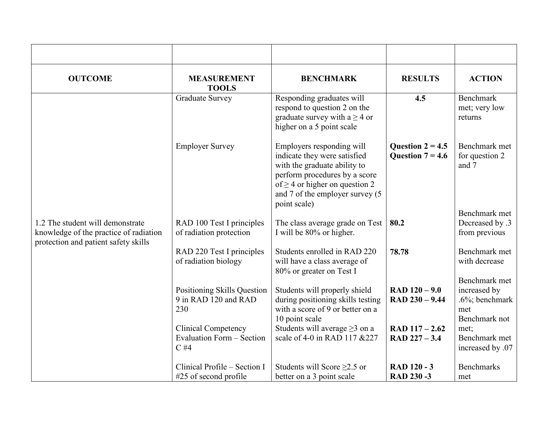| <b>OUTCOME</b>                                                                                                     | <b>MEASUREMENT</b><br><b>TOOLS</b>                                       | <b>BENCHMARK</b>                                                                                                                                                                                                     | <b>RESULTS</b>                           | <b>ACTION</b>                                                               |
|--------------------------------------------------------------------------------------------------------------------|--------------------------------------------------------------------------|----------------------------------------------------------------------------------------------------------------------------------------------------------------------------------------------------------------------|------------------------------------------|-----------------------------------------------------------------------------|
|                                                                                                                    | <b>Graduate Survey</b>                                                   | Responding graduates will<br>respond to question 2 on the<br>graduate survey with $a \ge 4$ or<br>higher on a 5 point scale                                                                                          | 4.5                                      | <b>Benchmark</b><br>met; very low<br>returns                                |
|                                                                                                                    | <b>Employer Survey</b>                                                   | Employers responding will<br>indicate they were satisfied<br>with the graduate ability to<br>perform procedures by a score<br>of $\geq$ 4 or higher on question 2<br>and 7 of the employer survey (5<br>point scale) | Question $2 = 4.5$<br>Question $7 = 4.6$ | Benchmark met<br>for question 2<br>and 7                                    |
|                                                                                                                    |                                                                          |                                                                                                                                                                                                                      |                                          | Benchmark met                                                               |
| 1.2 The student will demonstrate<br>knowledge of the practice of radiation<br>protection and patient safety skills | RAD 100 Test I principles<br>of radiation protection                     | The class average grade on Test<br>I will be 80% or higher.                                                                                                                                                          | 80.2                                     | Decreased by .3<br>from previous                                            |
|                                                                                                                    | RAD 220 Test I principles<br>of radiation biology                        | Students enrolled in RAD 220<br>will have a class average of<br>80% or greater on Test I                                                                                                                             | 78.78                                    | Benchmark met<br>with decrease                                              |
|                                                                                                                    | Positioning Skills Question<br>9 in RAD 120 and RAD<br>230               | Students will properly shield<br>during positioning skills testing<br>with a score of 9 or better on a<br>10 point scale                                                                                             | $RAD 120 - 9.0$<br>$RAD 230 - 9.44$      | Benchmark met<br>increased by<br>$.6\%$ ; benchmark<br>met<br>Benchmark not |
|                                                                                                                    | <b>Clinical Competency</b><br><b>Evaluation Form - Section</b><br>$C$ #4 | Students will average $\geq$ 3 on a<br>scale of 4-0 in RAD 117 & 227                                                                                                                                                 | $RAD 117 - 2.62$<br>$RAD 227 - 3.4$      | met;<br>Benchmark met<br>increased by .07                                   |
|                                                                                                                    | Clinical Profile – Section I<br>$#25$ of second profile                  | Students will Score $\geq$ 2.5 or<br>better on a 3 point scale                                                                                                                                                       | <b>RAD 120 - 3</b><br>RAD 230-3          | <b>Benchmarks</b><br>met                                                    |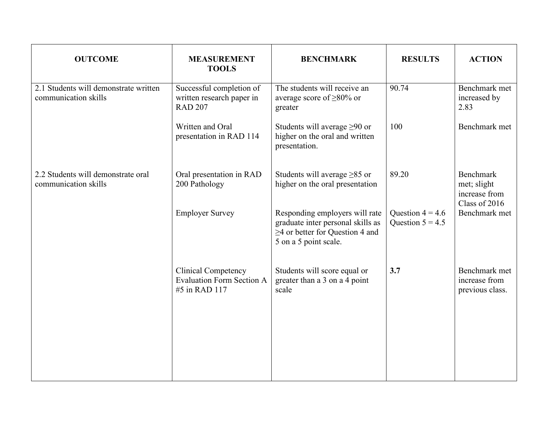| <b>OUTCOME</b>                                                | <b>MEASUREMENT</b><br><b>TOOLS</b>                                              | <b>BENCHMARK</b>                                                                                                                      | <b>RESULTS</b>                           | <b>ACTION</b>                                              |
|---------------------------------------------------------------|---------------------------------------------------------------------------------|---------------------------------------------------------------------------------------------------------------------------------------|------------------------------------------|------------------------------------------------------------|
| 2.1 Students will demonstrate written<br>communication skills | Successful completion of<br>written research paper in<br><b>RAD 207</b>         | The students will receive an<br>average score of $\geq 80\%$ or<br>greater                                                            | 90.74                                    | Benchmark met<br>increased by<br>2.83                      |
|                                                               | Written and Oral<br>presentation in RAD 114                                     | Students will average $\geq 90$ or<br>higher on the oral and written<br>presentation.                                                 | 100                                      | Benchmark met                                              |
| 2.2 Students will demonstrate oral<br>communication skills    | Oral presentation in RAD<br>200 Pathology                                       | Students will average $\geq 85$ or<br>higher on the oral presentation                                                                 | 89.20                                    | Benchmark<br>met; slight<br>increase from<br>Class of 2016 |
|                                                               | <b>Employer Survey</b>                                                          | Responding employers will rate<br>graduate inter personal skills as<br>$\geq$ 4 or better for Question 4 and<br>5 on a 5 point scale. | Question $4 = 4.6$<br>Question $5 = 4.5$ | Benchmark met                                              |
|                                                               | <b>Clinical Competency</b><br><b>Evaluation Form Section A</b><br>#5 in RAD 117 | Students will score equal or<br>greater than a 3 on a 4 point<br>scale                                                                | 3.7                                      | Benchmark met<br>increase from<br>previous class.          |
|                                                               |                                                                                 |                                                                                                                                       |                                          |                                                            |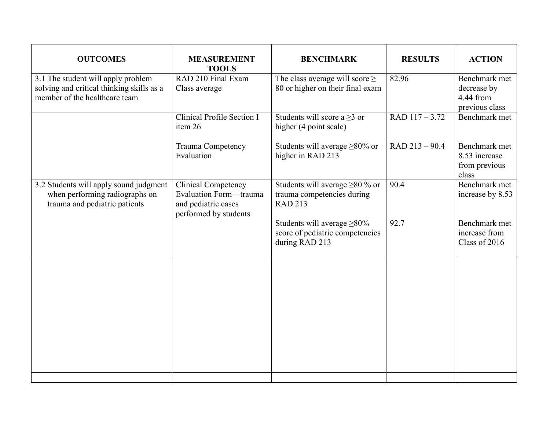| <b>OUTCOMES</b>                                                                                                  | <b>MEASUREMENT</b><br><b>TOOLS</b>                                                                     | <b>BENCHMARK</b>                                                                       | <b>RESULTS</b>   | <b>ACTION</b>                                               |
|------------------------------------------------------------------------------------------------------------------|--------------------------------------------------------------------------------------------------------|----------------------------------------------------------------------------------------|------------------|-------------------------------------------------------------|
| 3.1 The student will apply problem<br>solving and critical thinking skills as a<br>member of the healthcare team | RAD 210 Final Exam<br>Class average                                                                    | The class average will score $\geq$<br>80 or higher on their final exam                | 82.96            | Benchmark met<br>decrease by<br>4.44 from<br>previous class |
|                                                                                                                  | Clinical Profile Section I<br>item 26                                                                  | Students will score a $\geq$ 3 or<br>higher (4 point scale)                            | $RAD$ 117 - 3.72 | Benchmark met                                               |
|                                                                                                                  | <b>Trauma Competency</b><br>Evaluation                                                                 | Students will average $\geq$ 80% or<br>higher in RAD 213                               | $RAD 213 - 90.4$ | Benchmark met<br>8.53 increase<br>from previous<br>class    |
| 3.2 Students will apply sound judgment<br>when performing radiographs on<br>trauma and pediatric patients        | <b>Clinical Competency</b><br>Evaluation Form - trauma<br>and pediatric cases<br>performed by students | Students will average $\geq 80$ % or<br>trauma competencies during<br><b>RAD 213</b>   | 90.4             | Benchmark met<br>increase by 8.53                           |
|                                                                                                                  |                                                                                                        | Students will average $\geq 80\%$<br>score of pediatric competencies<br>during RAD 213 | 92.7             | Benchmark met<br>increase from<br>Class of 2016             |
|                                                                                                                  |                                                                                                        |                                                                                        |                  |                                                             |
|                                                                                                                  |                                                                                                        |                                                                                        |                  |                                                             |
|                                                                                                                  |                                                                                                        |                                                                                        |                  |                                                             |
|                                                                                                                  |                                                                                                        |                                                                                        |                  |                                                             |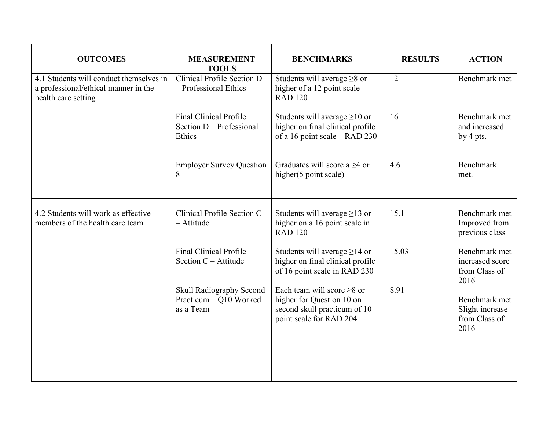| <b>OUTCOMES</b>                                                                                        | <b>MEASUREMENT</b><br><b>TOOLS</b>                                    | <b>BENCHMARKS</b>                                                                                                        | <b>RESULTS</b> | <b>ACTION</b>                                             |
|--------------------------------------------------------------------------------------------------------|-----------------------------------------------------------------------|--------------------------------------------------------------------------------------------------------------------------|----------------|-----------------------------------------------------------|
| 4.1 Students will conduct themselves in<br>a professional/ethical manner in the<br>health care setting | Clinical Profile Section D<br>- Professional Ethics                   | Students will average $\geq 8$ or<br>higher of a 12 point scale –<br><b>RAD 120</b>                                      | 12             | Benchmark met                                             |
|                                                                                                        | <b>Final Clinical Profile</b><br>Section $D -$ Professional<br>Ethics | Students will average $\geq$ 10 or<br>higher on final clinical profile<br>of a 16 point scale – RAD 230                  | 16             | Benchmark met<br>and increased<br>by 4 pts.               |
|                                                                                                        | <b>Employer Survey Question</b><br>8                                  | Graduates will score a $\geq$ 4 or<br>higher(5 point scale)                                                              | 4.6            | Benchmark<br>met.                                         |
| 4.2 Students will work as effective<br>members of the health care team                                 | Clinical Profile Section C<br>- Attitude                              | Students will average $\geq$ 13 or<br>higher on a 16 point scale in<br><b>RAD 120</b>                                    | 15.1           | Benchmark met<br>Improved from<br>previous class          |
|                                                                                                        | <b>Final Clinical Profile</b><br>Section $C -$ Attitude               | Students will average $\geq$ 14 or<br>higher on final clinical profile<br>of 16 point scale in RAD 230                   | 15.03          | Benchmark met<br>increased score<br>from Class of<br>2016 |
|                                                                                                        | Skull Radiography Second<br>Practicum - Q10 Worked<br>as a Team       | Each team will score $\geq 8$ or<br>higher for Question 10 on<br>second skull practicum of 10<br>point scale for RAD 204 | 8.91           | Benchmark met<br>Slight increase<br>from Class of<br>2016 |
|                                                                                                        |                                                                       |                                                                                                                          |                |                                                           |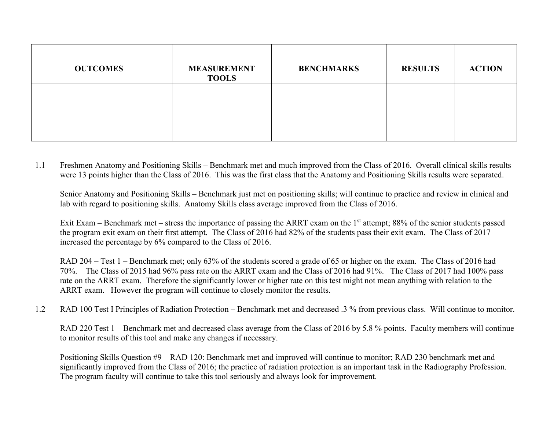| <b>OUTCOMES</b> | <b>MEASUREMENT</b><br><b>TOOLS</b> | <b>BENCHMARKS</b> | <b>RESULTS</b> | <b>ACTION</b> |
|-----------------|------------------------------------|-------------------|----------------|---------------|
|                 |                                    |                   |                |               |
|                 |                                    |                   |                |               |

1.1 Freshmen Anatomy and Positioning Skills – Benchmark met and much improved from the Class of 2016. Overall clinical skills results were 13 points higher than the Class of 2016. This was the first class that the Anatomy and Positioning Skills results were separated.

Senior Anatomy and Positioning Skills – Benchmark just met on positioning skills; will continue to practice and review in clinical and lab with regard to positioning skills. Anatomy Skills class average improved from the Class of 2016.

Exit Exam – Benchmark met – stress the importance of passing the ARRT exam on the 1<sup>st</sup> attempt; 88% of the senior students passed the program exit exam on their first attempt. The Class of 2016 had 82% of the students pass their exit exam. The Class of 2017 increased the percentage by 6% compared to the Class of 2016.

RAD 204 – Test 1 – Benchmark met; only 63% of the students scored a grade of 65 or higher on the exam. The Class of 2016 had 70%. The Class of 2015 had 96% pass rate on the ARRT exam and the Class of 2016 had 91%. The Class of 2017 had 100% pass rate on the ARRT exam. Therefore the significantly lower or higher rate on this test might not mean anything with relation to the ARRT exam. However the program will continue to closely monitor the results.

1.2 RAD 100 Test I Principles of Radiation Protection – Benchmark met and decreased .3 % from previous class. Will continue to monitor.

RAD 220 Test 1 – Benchmark met and decreased class average from the Class of 2016 by 5.8 % points. Faculty members will continue to monitor results of this tool and make any changes if necessary.

Positioning Skills Question #9 – RAD 120: Benchmark met and improved will continue to monitor; RAD 230 benchmark met and significantly improved from the Class of 2016; the practice of radiation protection is an important task in the Radiography Profession. The program faculty will continue to take this tool seriously and always look for improvement.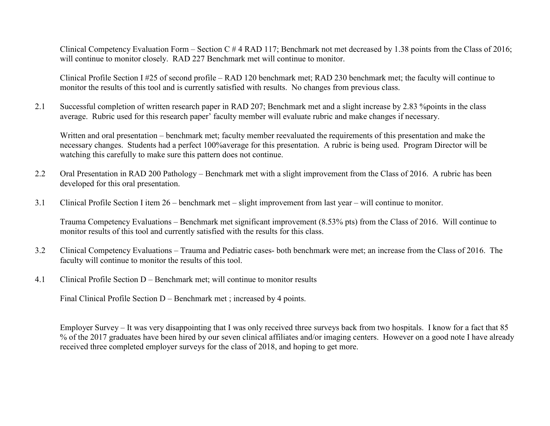Clinical Competency Evaluation Form – Section C # 4 RAD 117; Benchmark not met decreased by 1.38 points from the Class of 2016; will continue to monitor closely. RAD 227 Benchmark met will continue to monitor.

Clinical Profile Section I #25 of second profile – RAD 120 benchmark met; RAD 230 benchmark met; the faculty will continue to monitor the results of this tool and is currently satisfied with results. No changes from previous class.

2.1 Successful completion of written research paper in RAD 207; Benchmark met and a slight increase by 2.83 %points in the class average. Rubric used for this research paper' faculty member will evaluate rubric and make changes if necessary.

Written and oral presentation – benchmark met; faculty member reevaluated the requirements of this presentation and make the necessary changes. Students had a perfect 100%average for this presentation. A rubric is being used. Program Director will be watching this carefully to make sure this pattern does not continue.

- 2.2 Oral Presentation in RAD 200 Pathology Benchmark met with a slight improvement from the Class of 2016. A rubric has been developed for this oral presentation.
- 3.1 Clinical Profile Section I item 26 benchmark met slight improvement from last year will continue to monitor.

Trauma Competency Evaluations – Benchmark met significant improvement (8.53% pts) from the Class of 2016. Will continue to monitor results of this tool and currently satisfied with the results for this class.

- 3.2 Clinical Competency Evaluations Trauma and Pediatric cases- both benchmark were met; an increase from the Class of 2016. The faculty will continue to monitor the results of this tool.
- 4.1 Clinical Profile Section D Benchmark met; will continue to monitor results

Final Clinical Profile Section D – Benchmark met ; increased by 4 points.

Employer Survey – It was very disappointing that I was only received three surveys back from two hospitals. I know for a fact that 85 % of the 2017 graduates have been hired by our seven clinical affiliates and/or imaging centers. However on a good note I have already received three completed employer surveys for the class of 2018, and hoping to get more.